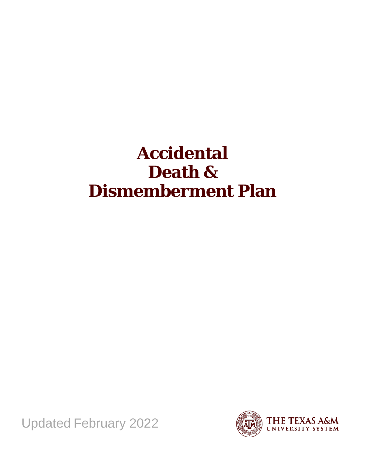# **Accidental Death & Dismemberment Plan**

Updated February 2022

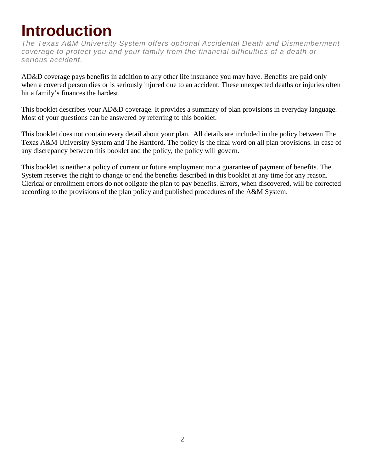# <span id="page-1-0"></span>**Introduction**

*The Texas A&M University System offers optional Accidental Death and Dismemberment coverage to protect you and your family from the financial difficulties of a death or serious accident.*

AD&D coverage pays benefits in addition to any other life insurance you may have. Benefits are paid only when a covered person dies or is seriously injured due to an accident. These unexpected deaths or injuries often hit a family's finances the hardest.

This booklet describes your AD&D coverage. It provides a summary of plan provisions in everyday language. Most of your questions can be answered by referring to this booklet.

This booklet does not contain every detail about your plan. All details are included in the policy between The Texas A&M University System and The Hartford. The policy is the final word on all plan provisions. In case of any discrepancy between this booklet and the policy, the policy will govern.

This booklet is neither a policy of current or future employment nor a guarantee of payment of benefits. The System reserves the right to change or end the benefits described in this booklet at any time for any reason. Clerical or enrollment errors do not obligate the plan to pay benefits. Errors, when discovered, will be corrected according to the provisions of the plan policy and published procedures of the A&M System.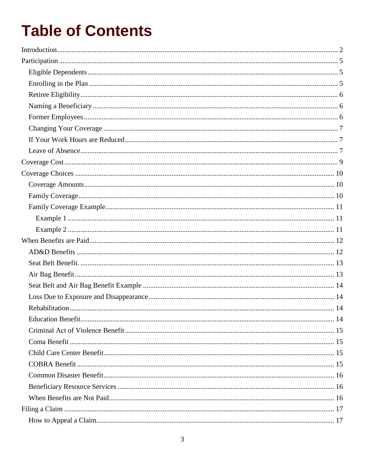# **Table of Contents**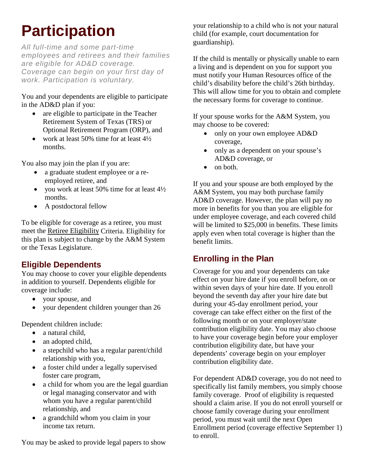# <span id="page-4-0"></span>**Participation**

*All full-time and some part-time employees and retirees and their families are eligible for AD&D coverage. Coverage can begin on your first day of work. Participation is voluntary.*

You and your dependents are eligible to participate in the AD&D plan if you:

- are eligible to participate in the Teacher Retirement System of Texas (TRS) or Optional Retirement Program (ORP), and
- work at least 50% time for at least  $4\frac{1}{2}$ months.

You also may join the plan if you are:

- a graduate student employee or a reemployed retiree, and
- you work at least 50% time for at least  $4\frac{1}{2}$ months.
- A postdoctoral fellow

To be eligible for coverage as a retiree, you must meet the [Retiree Eligibility](#page-5-0) Criteria. Eligibility for this plan is subject to change by the A&M System or the Texas Legislature.

## <span id="page-4-1"></span>**Eligible Dependents**

You may choose to cover your eligible dependents in addition to yourself. Dependents eligible for coverage include:

- your spouse, and
- your dependent children younger than 26

Dependent children include:

- a natural child.
- an adopted child,
- a stepchild who has a regular parent/child relationship with you,
- a foster child under a legally supervised foster care program,
- a child for whom you are the legal guardian or legal managing conservator and with whom you have a regular parent/child relationship, and
- a grandchild whom you claim in your income tax return.

You may be asked to provide legal papers to show

your relationship to a child who is not your natural child (for example, court documentation for guardianship).

If the child is mentally or physically unable to earn a living and is dependent on you for support you must notify your Human Resources office of the child's disability before the child's 26th birthday. This will allow time for you to obtain and complete the necessary forms for coverage to continue.

If your spouse works for the A&M System, you may choose to be covered:

- only on your own employee AD&D coverage,
- only as a dependent on your spouse's AD&D coverage, or
- on both.

If you and your spouse are both employed by the A&M System, you may both purchase family AD&D coverage. However, the plan will pay no more in benefits for you than you are eligible for under employee coverage, and each covered child will be limited to \$25,000 in benefits. These limits apply even when total coverage is higher than the benefit limits.

# <span id="page-4-2"></span>**Enrolling in the Plan**

Coverage for you and your dependents can take effect on your hire date if you enroll before, on or within seven days of your hire date. If you enroll beyond the seventh day after your hire date but during your 45-day enrollment period, your coverage can take effect either on the first of the following month or on your employer/state contribution eligibility date. You may also choose to have your coverage begin before your employer contribution eligibility date, but have your dependents' coverage begin on your employer contribution eligibility date.

For dependent AD&D coverage, you do not need to specifically list family members, you simply choose family coverage. Proof of eligibility is requested should a claim arise. If you do not enroll yourself or choose family coverage during your enrollment period, you must wait until the next Open Enrollment period (coverage effective September 1) to enroll.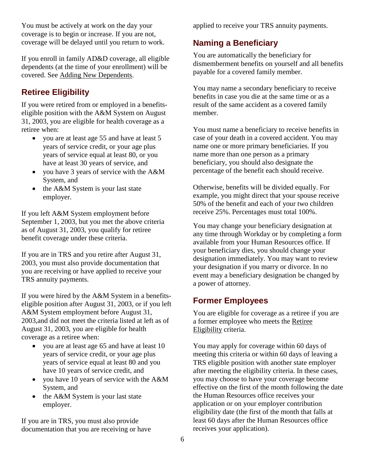You must be actively at work on the day your coverage is to begin or increase. If you are not, coverage will be delayed until you return to work.

If you enroll in family AD&D coverage, all eligible dependents (at the time of your enrollment) will be covered. See [Adding New Dependents.](#page-5-3)

### <span id="page-5-0"></span>**Retiree Eligibility**

If you were retired from or employed in a benefitseligible position with the A&M System on August 31, 2003, you are eligible for health coverage as a retiree when:

- you are at least age 55 and have at least 5 years of service credit, or your age plus years of service equal at least 80, or you have at least 30 years of service, and
- you have 3 years of service with the A&M System, and
- the A&M System is your last state employer.

If you left A&M System employment before September 1, 2003, but you met the above criteria as of August 31, 2003, you qualify for retiree benefit coverage under these criteria.

If you are in TRS and you retire after August 31, 2003, you must also provide documentation that you are receiving or have applied to receive your TRS annuity payments.

If you were hired by the A&M System in a benefitseligible position after August 31, 2003, or if you left A&M System employment before August 31, 2003,and did not meet the criteria listed at left as of August 31, 2003, you are eligible for health coverage as a retiree when:

- you are at least age 65 and have at least 10 years of service credit, or your age plus years of service equal at least 80 and you have 10 years of service credit, and
- you have 10 years of service with the A&M System, and
- the A&M System is your last state employer.

If you are in TRS, you must also provide documentation that you are receiving or have applied to receive your TRS annuity payments.

#### <span id="page-5-1"></span>**Naming a Beneficiary**

You are automatically the beneficiary for dismemberment benefits on yourself and all benefits payable for a covered family member.

You may name a secondary beneficiary to receive benefits in case you die at the same time or as a result of the same accident as a covered family member.

You must name a beneficiary to receive benefits in case of your death in a covered accident. You may name one or more primary beneficiaries. If you name more than one person as a primary beneficiary, you should also designate the percentage of the benefit each should receive.

Otherwise, benefits will be divided equally. For example, you might direct that your spouse receive 50% of the benefit and each of your two children receive 25%. Percentages must total 100%.

You may change your beneficiary designation at any time through Workday or by completing a form available from your Human Resources office. If your beneficiary dies, you should change your designation immediately. You may want to review your designation if you marry or divorce. In no event may a beneficiary designation be changed by a power of attorney.

#### <span id="page-5-3"></span><span id="page-5-2"></span>**Former Employees**

You are eligible for coverage as a retiree if you are a former employee who meets the [Retiree](#page-5-0)  [Eligibility](#page-5-0) criteria.

You may apply for coverage within 60 days of meeting this criteria or within 60 days of leaving a TRS eligible position with another state employer after meeting the eligibility criteria. In these cases, you may choose to have your coverage become effective on the first of the month following the date the Human Resources office receives your application or on your employer contribution eligibility date (the first of the month that falls at least 60 days after the Human Resources office receives your application).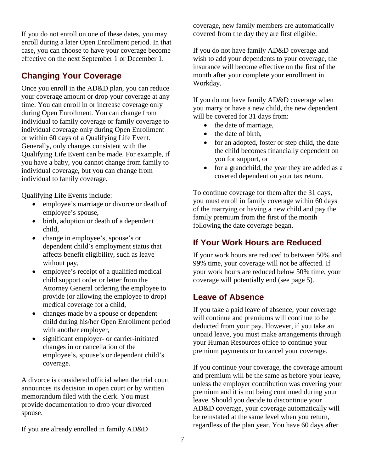If you do not enroll on one of these dates, you may enroll during a later Open Enrollment period. In that case, you can choose to have your coverage become effective on the next September 1 or December 1.

### <span id="page-6-0"></span>**Changing Your Coverage**

Once you enroll in the AD&D plan, you can reduce your coverage amount or drop your coverage at any time. You can enroll in or increase coverage only during Open Enrollment. You can change from individual to family coverage or family coverage to individual coverage only during Open Enrollment or within 60 days of a Qualifying Life Event. Generally, only changes consistent with the Qualifying Life Event can be made. For example, if you have a baby, you cannot change from family to individual coverage, but you can change from individual to family coverage.

Qualifying Life Events include:

- employee's marriage or divorce or death of employee's spouse,
- birth, adoption or death of a dependent child,
- change in employee's, spouse's or dependent child's employment status that affects benefit eligibility, such as leave without pay,
- employee's receipt of a qualified medical child support order or letter from the Attorney General ordering the employee to provide (or allowing the employee to drop) medical coverage for a child,
- changes made by a spouse or dependent child during his/her Open Enrollment period with another employer,
- significant employer- or carrier-initiated changes in or cancellation of the employee's, spouse's or dependent child's coverage.

A divorce is considered official when the trial court announces its decision in open court or by written memorandum filed with the clerk. You must provide documentation to drop your divorced spouse.

If you are already enrolled in family AD&D

coverage, new family members are automatically covered from the day they are first eligible.

If you do not have family AD&D coverage and wish to add your dependents to your coverage, the insurance will become effective on the first of the month after your complete your enrollment in Workday.

If you do not have family AD&D coverage when you marry or have a new child, the new dependent will be covered for 31 days from:

- the date of marriage,
- the date of birth,
- for an adopted, foster or step child, the date the child becomes financially dependent on you for support, or
- for a grandchild, the year they are added as a covered dependent on your tax return.

To continue coverage for them after the 31 days, you must enroll in family coverage within 60 days of the marrying or having a new child and pay the family premium from the first of the month following the date coverage began.

#### <span id="page-6-1"></span>**If Your Work Hours are Reduced**

If your work hours are reduced to between 50% and 99% time, your coverage will not be affected. If your work hours are reduced below 50% time, your coverage will potentially end (see page 5).

#### <span id="page-6-2"></span>**Leave of Absence**

If you take a paid leave of absence, your coverage will continue and premiums will continue to be deducted from your pay. However, if you take an unpaid leave, you must make arrangements through your Human Resources office to continue your premium payments or to cancel your coverage.

If you continue your coverage, the coverage amount and premium will be the same as before your leave, unless the employer contribution was covering your premium and it is not being continued during your leave. Should you decide to discontinue your AD&D coverage, your coverage automatically will be reinstated at the same level when you return, regardless of the plan year. You have 60 days after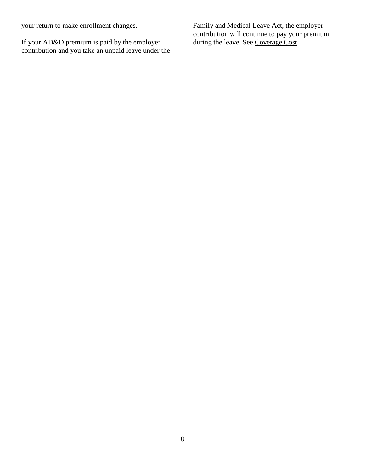your return to make enrollment changes.

If your AD&D premium is paid by the employer contribution and you take an unpaid leave under the Family and Medical Leave Act, the employer contribution will continue to pay your premium during the leave. See [Coverage Cost.](#page-8-0)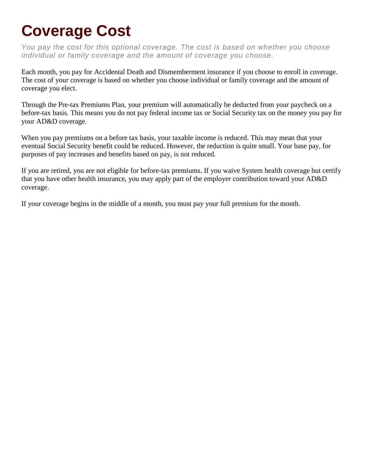# <span id="page-8-0"></span>**Coverage Cost**

*You pay the cost for this optional coverage. The cost is based on whether you choose individual or family coverage and the amount of coverage you choose.*

Each month, you pay for Accidental Death and Dismemberment insurance if you choose to enroll in coverage. The cost of your coverage is based on whether you choose individual or family coverage and the amount of coverage you elect.

Through the Pre-tax Premiums Plan, your premium will automatically be deducted from your paycheck on a before-tax basis. This means you do not pay federal income tax or Social Security tax on the money you pay for your AD&D coverage.

When you pay premiums on a before tax basis, your taxable income is reduced. This may mean that your eventual Social Security benefit could be reduced. However, the reduction is quite small. Your base pay, for purposes of pay increases and benefits based on pay, is not reduced.

If you are retired, you are not eligible for before-tax premiums. If you waive System health coverage but certify that you have other health insurance, you may apply part of the employer contribution toward your AD&D coverage.

If your coverage begins in the middle of a month, you must pay your full premium for the month.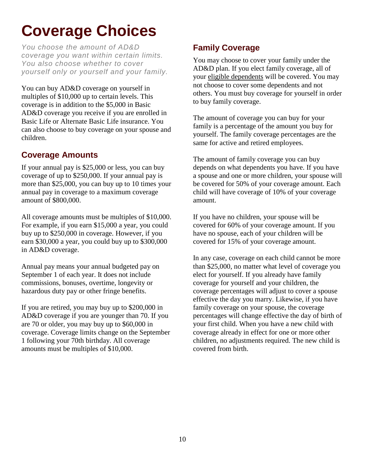# <span id="page-9-0"></span>**Coverage Choices**

*You choose the amount of AD&D coverage you want within certain limits. You also choose whether to cover yourself only or yourself and your family.*

You can buy AD&D coverage on yourself in multiples of \$10,000 up to certain levels. This coverage is in addition to the \$5,000 in Basic AD&D coverage you receive if you are enrolled in Basic Life or Alternate Basic Life insurance. You can also choose to buy coverage on your spouse and children.

## <span id="page-9-1"></span>**Coverage Amounts**

If your annual pay is \$25,000 or less, you can buy coverage of up to \$250,000. If your annual pay is more than \$25,000, you can buy up to 10 times your annual pay in coverage to a maximum coverage amount of \$800,000.

All coverage amounts must be multiples of \$10,000. For example, if you earn \$15,000 a year, you could buy up to \$250,000 in coverage. However, if you earn \$30,000 a year, you could buy up to \$300,000 in AD&D coverage.

Annual pay means your annual budgeted pay on September 1 of each year. It does not include commissions, bonuses, overtime, longevity or hazardous duty pay or other fringe benefits.

If you are retired, you may buy up to \$200,000 in AD&D coverage if you are younger than 70. If you are 70 or older, you may buy up to \$60,000 in coverage. Coverage limits change on the September 1 following your 70th birthday. All coverage amounts must be multiples of \$10,000.

## <span id="page-9-2"></span>**Family Coverage**

You may choose to cover your family under the AD&D plan. If you elect family coverage, all of your [eligible dependents](#page-4-0) will be covered. You may not choose to cover some dependents and not others. You must buy coverage for yourself in order to buy family coverage.

The amount of coverage you can buy for your family is a percentage of the amount you buy for yourself. The family coverage percentages are the same for active and retired employees.

The amount of family coverage you can buy depends on what dependents you have. If you have a spouse and one or more children, your spouse will be covered for 50% of your coverage amount. Each child will have coverage of 10% of your coverage amount.

If you have no children, your spouse will be covered for 60% of your coverage amount. If you have no spouse, each of your children will be covered for 15% of your coverage amount.

In any case, coverage on each child cannot be more than \$25,000, no matter what level of coverage you elect for yourself. If you already have family coverage for yourself and your children, the coverage percentages will adjust to cover a spouse effective the day you marry. Likewise, if you have family coverage on your spouse, the coverage percentages will change effective the day of birth of your first child. When you have a new child with coverage already in effect for one or more other children, no adjustments required. The new child is covered from birth.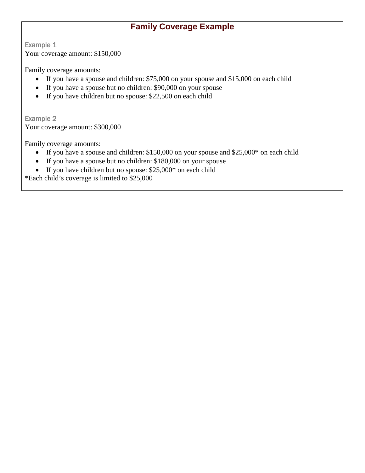## **Family Coverage Example**

<span id="page-10-1"></span><span id="page-10-0"></span>Example 1

Your coverage amount: \$150,000

Family coverage amounts:

- If you have a spouse and children: \$75,000 on your spouse and \$15,000 on each child
- If you have a spouse but no children: \$90,000 on your spouse
- If you have children but no spouse: \$22,500 on each child

<span id="page-10-2"></span>Example 2 Your coverage amount: \$300,000

Family coverage amounts:

- If you have a spouse and children: \$150,000 on your spouse and \$25,000\* on each child
- If you have a spouse but no children: \$180,000 on your spouse
- If you have children but no spouse: \$25,000\* on each child

\*Each child's coverage is limited to \$25,000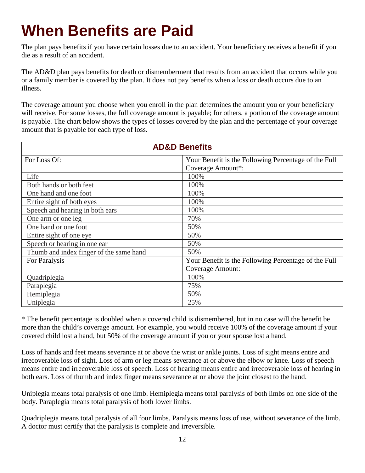# <span id="page-11-0"></span>**When Benefits are Paid**

The plan pays benefits if you have certain losses due to an accident. Your beneficiary receives a benefit if you die as a result of an accident.

The AD&D plan pays benefits for death or dismemberment that results from an accident that occurs while you or a family member is covered by the plan. It does not pay benefits when a loss or death occurs due to an illness.

The coverage amount you choose when you enroll in the plan determines the amount you or your beneficiary will receive. For some losses, the full coverage amount is payable; for others, a portion of the coverage amount is payable. The chart below shows the types of losses covered by the plan and the percentage of your coverage amount that is payable for each type of loss.

<span id="page-11-1"></span>

| <b>AD&amp;D Benefits</b>                |                                                      |  |  |
|-----------------------------------------|------------------------------------------------------|--|--|
| For Loss Of:                            | Your Benefit is the Following Percentage of the Full |  |  |
|                                         | Coverage Amount*:                                    |  |  |
| Life                                    | 100%                                                 |  |  |
| Both hands or both feet                 | 100%                                                 |  |  |
| One hand and one foot                   | 100%                                                 |  |  |
| Entire sight of both eyes               | 100%                                                 |  |  |
| Speech and hearing in both ears         | 100%                                                 |  |  |
| One arm or one leg                      | 70%                                                  |  |  |
| One hand or one foot                    | 50%                                                  |  |  |
| Entire sight of one eye                 | 50%                                                  |  |  |
| Speech or hearing in one ear            | 50%                                                  |  |  |
| Thumb and index finger of the same hand | 50%                                                  |  |  |
| For Paralysis                           | Your Benefit is the Following Percentage of the Full |  |  |
|                                         | Coverage Amount:                                     |  |  |
| Quadriplegia                            | 100%                                                 |  |  |
| Paraplegia                              | 75%                                                  |  |  |
| Hemiplegia                              | 50%                                                  |  |  |
| Uniplegia                               | 25%                                                  |  |  |

\* The benefit percentage is doubled when a covered child is dismembered, but in no case will the benefit be more than the child's coverage amount. For example, you would receive 100% of the coverage amount if your covered child lost a hand, but 50% of the coverage amount if you or your spouse lost a hand.

Loss of hands and feet means severance at or above the wrist or ankle joints. Loss of sight means entire and irrecoverable loss of sight. Loss of arm or leg means severance at or above the elbow or knee. Loss of speech means entire and irrecoverable loss of speech. Loss of hearing means entire and irrecoverable loss of hearing in both ears. Loss of thumb and index finger means severance at or above the joint closest to the hand.

Uniplegia means total paralysis of one limb. Hemiplegia means total paralysis of both limbs on one side of the body. Paraplegia means total paralysis of both lower limbs.

Quadriplegia means total paralysis of all four limbs. Paralysis means loss of use, without severance of the limb. A doctor must certify that the paralysis is complete and irreversible.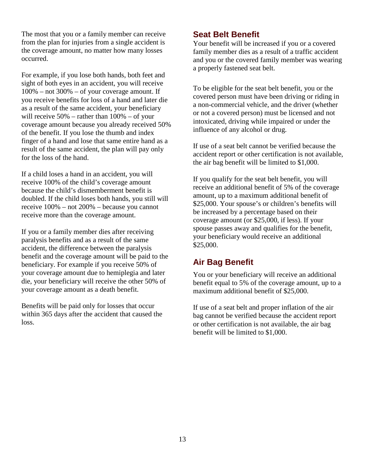The most that you or a family member can receive from the plan for injuries from a single accident is the coverage amount, no matter how many losses occurred.

For example, if you lose both hands, both feet and sight of both eyes in an accident, you will receive 100% – not 300% – of your coverage amount. If you receive benefits for loss of a hand and later die as a result of the same accident, your beneficiary will receive 50% – rather than 100% – of your coverage amount because you already received 50% of the benefit. If you lose the thumb and index finger of a hand and lose that same entire hand as a result of the same accident, the plan will pay only for the loss of the hand.

If a child loses a hand in an accident, you will receive 100% of the child's coverage amount because the child's dismemberment benefit is doubled. If the child loses both hands, you still will receive 100% – not 200% – because you cannot receive more than the coverage amount.

If you or a family member dies after receiving paralysis benefits and as a result of the same accident, the difference between the paralysis benefit and the coverage amount will be paid to the beneficiary. For example if you receive 50% of your coverage amount due to hemiplegia and later die, your beneficiary will receive the other 50% of your coverage amount as a death benefit.

Benefits will be paid only for losses that occur within 365 days after the accident that caused the loss.

#### <span id="page-12-0"></span>**Seat Belt Benefit**

Your benefit will be increased if you or a covered family member dies as a result of a traffic accident and you or the covered family member was wearing a properly fastened seat belt.

To be eligible for the seat belt benefit, you or the covered person must have been driving or riding in a non-commercial vehicle, and the driver (whether or not a covered person) must be licensed and not intoxicated, driving while impaired or under the influence of any alcohol or drug.

If use of a seat belt cannot be verified because the accident report or other certification is not available, the air bag benefit will be limited to \$1,000.

If you qualify for the seat belt benefit, you will receive an additional benefit of 5% of the coverage amount, up to a maximum additional benefit of \$25,000. Your spouse's or children's benefits will be increased by a percentage based on their coverage amount (or \$25,000, if less). If your spouse passes away and qualifies for the benefit, your beneficiary would receive an additional \$25,000.

## <span id="page-12-1"></span>**Air Bag Benefit**

You or your beneficiary will receive an additional benefit equal to 5% of the coverage amount, up to a maximum additional benefit of \$25,000.

If use of a seat belt and proper inflation of the air bag cannot be verified because the accident report or other certification is not available, the air bag benefit will be limited to \$1,000.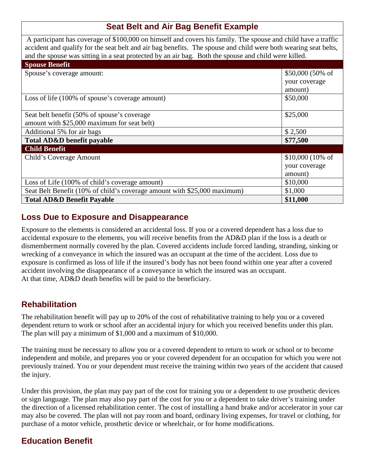## **Seat Belt and Air Bag Benefit Example**

<span id="page-13-0"></span>A participant has coverage of \$100,000 on himself and covers his family. The spouse and child have a traffic accident and qualify for the seat belt and air bag benefits. The spouse and child were both wearing seat belts, and the spouse was sitting in a seat protected by an air bag. Both the spouse and child were killed.

| <b>Spouse Benefit</b>                                                    |                            |
|--------------------------------------------------------------------------|----------------------------|
| Spouse's coverage amount:                                                | \$50,000 (50% of           |
|                                                                          | your coverage              |
|                                                                          | amount)                    |
| Loss of life (100% of spouse's coverage amount)                          | \$50,000                   |
|                                                                          |                            |
| Seat belt benefit (50% of spouse's coverage                              | \$25,000                   |
| amount with \$25,000 maximum for seat belt)                              |                            |
| Additional 5% for air bags                                               | \$2,500                    |
| Total AD&D benefit payable                                               | \$77,500                   |
| <b>Child Benefit</b>                                                     |                            |
| Child's Coverage Amount                                                  | $$10,000(10\% \text{ of }$ |
|                                                                          | your coverage              |
|                                                                          | amount)                    |
| Loss of Life (100% of child's coverage amount)                           | \$10,000                   |
| Seat Belt Benefit (10% of child's coverage amount with \$25,000 maximum) | \$1,000                    |
| <b>Total AD&amp;D Benefit Payable</b>                                    | \$11,000                   |

#### <span id="page-13-1"></span>**Loss Due to Exposure and Disappearance**

Exposure to the elements is considered an accidental loss. If you or a covered dependent has a loss due to accidental exposure to the elements, you will receive benefits from the AD&D plan if the loss is a death or dismemberment normally covered by the plan. Covered accidents include forced landing, stranding, sinking or wrecking of a conveyance in which the insured was an occupant at the time of the accident. Loss due to exposure is confirmed as loss of life if the insured's body has not been found within one year after a covered accident involving the disappearance of a conveyance in which the insured was an occupant. At that time, AD&D death benefits will be paid to the beneficiary.

## <span id="page-13-2"></span>**Rehabilitation**

The rehabilitation benefit will pay up to 20% of the cost of rehabilitative training to help you or a covered dependent return to work or school after an accidental injury for which you received benefits under this plan. The plan will pay a minimum of \$1,000 and a maximum of \$10,000.

The training must be necessary to allow you or a covered dependent to return to work or school or to become independent and mobile, and prepares you or your covered dependent for an occupation for which you were not previously trained. You or your dependent must receive the training within two years of the accident that caused the injury.

Under this provision, the plan may pay part of the cost for training you or a dependent to use prosthetic devices or sign language. The plan may also pay part of the cost for you or a dependent to take driver's training under the direction of a licensed rehabilitation center. The cost of installing a hand brake and/or accelerator in your car may also be covered. The plan will not pay room and board, ordinary living expenses, for travel or clothing, for purchase of a motor vehicle, prosthetic device or wheelchair, or for home modifications.

## <span id="page-13-3"></span>**Education Benefit**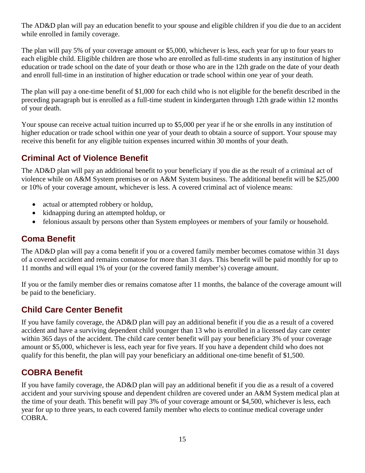The AD&D plan will pay an education benefit to your spouse and eligible children if you die due to an accident while enrolled in family coverage.

The plan will pay 5% of your coverage amount or \$5,000, whichever is less, each year for up to four years to each eligible child. Eligible children are those who are enrolled as full-time students in any institution of higher education or trade school on the date of your death or those who are in the 12th grade on the date of your death and enroll full-time in an institution of higher education or trade school within one year of your death.

The plan will pay a one-time benefit of \$1,000 for each child who is not eligible for the benefit described in the preceding paragraph but is enrolled as a full-time student in kindergarten through 12th grade within 12 months of your death.

Your spouse can receive actual tuition incurred up to \$5,000 per year if he or she enrolls in any institution of higher education or trade school within one year of your death to obtain a source of support. Your spouse may receive this benefit for any eligible tuition expenses incurred within 30 months of your death.

## <span id="page-14-0"></span>**Criminal Act of Violence Benefit**

The AD&D plan will pay an additional benefit to your beneficiary if you die as the result of a criminal act of violence while on A&M System premises or on A&M System business. The additional benefit will be \$25,000 or 10% of your coverage amount, whichever is less. A covered criminal act of violence means:

- actual or attempted robbery or holdup,
- kidnapping during an attempted holdup, or
- felonious assault by persons other than System employees or members of your family or household.

## <span id="page-14-1"></span>**Coma Benefit**

The AD&D plan will pay a coma benefit if you or a covered family member becomes comatose within 31 days of a covered accident and remains comatose for more than 31 days. This benefit will be paid monthly for up to 11 months and will equal 1% of your (or the covered family member's) coverage amount.

If you or the family member dies or remains comatose after 11 months, the balance of the coverage amount will be paid to the beneficiary.

## <span id="page-14-2"></span>**Child Care Center Benefit**

If you have family coverage, the AD&D plan will pay an additional benefit if you die as a result of a covered accident and have a surviving dependent child younger than 13 who is enrolled in a licensed day care center within 365 days of the accident. The child care center benefit will pay your beneficiary 3% of your coverage amount or \$5,000, whichever is less, each year for five years. If you have a dependent child who does not qualify for this benefit, the plan will pay your beneficiary an additional one-time benefit of \$1,500.

## <span id="page-14-3"></span>**COBRA Benefit**

If you have family coverage, the AD&D plan will pay an additional benefit if you die as a result of a covered accident and your surviving spouse and dependent children are covered under an A&M System medical plan at the time of your death. This benefit will pay 3% of your coverage amount or \$4,500, whichever is less, each year for up to three years, to each covered family member who elects to continue medical coverage under COBRA.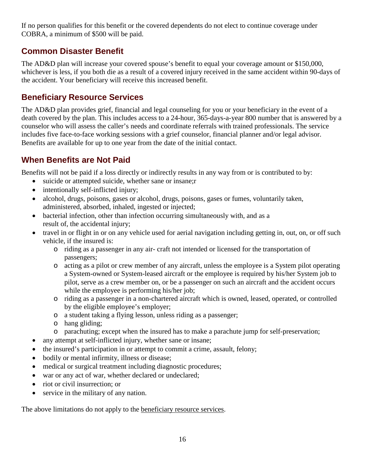If no person qualifies for this benefit or the covered dependents do not elect to continue coverage under COBRA, a minimum of \$500 will be paid.

### <span id="page-15-0"></span>**Common Disaster Benefit**

The AD&D plan will increase your covered spouse's benefit to equal your coverage amount or \$150,000, whichever is less, if you both die as a result of a covered injury received in the same accident within 90-days of the accident. Your beneficiary will receive this increased benefit.

### <span id="page-15-1"></span>**Beneficiary Resource Services**

The AD&D plan provides grief, financial and legal counseling for you or your beneficiary in the event of a death covered by the plan. This includes access to a 24-hour, 365-days-a-year 800 number that is answered by a counselor who will assess the caller's needs and coordinate referrals with trained professionals. The service includes five face-to-face working sessions with a grief counselor, financial planner and/or legal advisor. Benefits are available for up to one year from the date of the initial contact.

## <span id="page-15-2"></span>**When Benefits are Not Paid**

Benefits will not be paid if a loss directly or indirectly results in any way from or is contributed to by:

- suicide or attempted suicide, whether sane or insane;
- intentionally self-inflicted injury;
- alcohol, drugs, poisons, gases or alcohol, drugs, poisons, gases or fumes, voluntarily taken, administered, absorbed, inhaled, ingested or injected;
- bacterial infection, other than infection occurring simultaneously with, and as a result of, the accidental injury;
- travel in or flight in or on any vehicle used for aerial navigation including getting in, out, on, or off such vehicle, if the insured is:
	- o riding as a passenger in any air- craft not intended or licensed for the transportation of passengers;
	- o acting as a pilot or crew member of any aircraft, unless the employee is a System pilot operating a System-owned or System-leased aircraft or the employee is required by his/her System job to pilot, serve as a crew member on, or be a passenger on such an aircraft and the accident occurs while the employee is performing his/her job;
	- o riding as a passenger in a non-chartered aircraft which is owned, leased, operated, or controlled by the eligible employee's employer;
	- o a student taking a flying lesson, unless riding as a passenger;
	- o hang gliding;
	- o parachuting; except when the insured has to make a parachute jump for self-preservation;
- any attempt at self-inflicted injury, whether sane or insane;
- the insured's participation in or attempt to commit a crime, assault, felony;
- bodily or mental infirmity, illness or disease;
- medical or surgical treatment including diagnostic procedures;
- war or any act of war, whether declared or undeclared;
- riot or civil insurrection; or
- service in the military of any nation.

The above limitations do not apply to the [beneficiary resource services.](#page-15-1)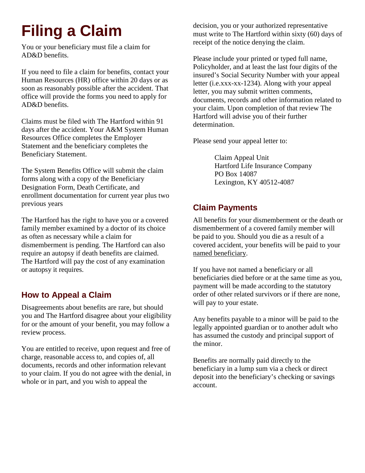# <span id="page-16-0"></span>**Filing a Claim**

You or your beneficiary must file a claim for AD&D benefits.

If you need to file a claim for benefits, contact your Human Resources (HR) office within 20 days or as soon as reasonably possible after the accident. That office will provide the forms you need to apply for AD&D benefits.

Claims must be filed with The Hartford within 91 days after the accident. Your A&M System Human Resources Office completes the Employer Statement and the beneficiary completes the Beneficiary Statement.

The System Benefits Office will submit the claim forms along with a copy of the Beneficiary Designation Form, Death Certificate, and enrollment documentation for current year plus two previous years

The Hartford has the right to have you or a covered family member examined by a doctor of its choice as often as necessary while a claim for dismemberment is pending. The Hartford can also require an autopsy if death benefits are claimed. The Hartford will pay the cost of any examination or autopsy it requires.

## <span id="page-16-1"></span>**How to Appeal a Claim**

Disagreements about benefits are rare, but should you and The Hartford disagree about your eligibility for or the amount of your benefit, you may follow a review process.

You are entitled to receive, upon request and free of charge, reasonable access to, and copies of, all documents, records and other information relevant to your claim. If you do not agree with the denial, in whole or in part, and you wish to appeal the

decision, you or your authorized representative must write to The Hartford within sixty (60) days of receipt of the notice denying the claim.

Please include your printed or typed full name, Policyholder, and at least the last four digits of the insured's Social Security Number with your appeal letter (i.e.xxx-xx-1234). Along with your appeal letter, you may submit written comments, documents, records and other information related to your claim. Upon completion of that review The Hartford will advise you of their further determination.

Please send your appeal letter to:

Claim Appeal Unit Hartford Life Insurance Company PO Box 14087 Lexington, KY 40512-4087

## <span id="page-16-2"></span>**Claim Payments**

All benefits for your dismemberment or the death or dismemberment of a covered family member will be paid to you. Should you die as a result of a covered accident, your benefits will be paid to your [named beneficiary.](#page-5-1)

If you have not named a beneficiary or all beneficiaries died before or at the same time as you, payment will be made according to the statutory order of other related survivors or if there are none, will pay to your estate.

Any benefits payable to a minor will be paid to the legally appointed guardian or to another adult who has assumed the custody and principal support of the minor.

Benefits are normally paid directly to the beneficiary in a lump sum via a check or direct deposit into the beneficiary's checking or savings account.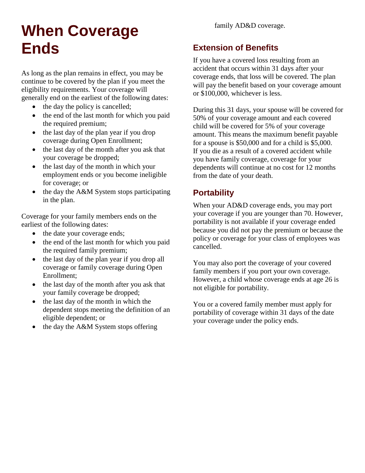# <span id="page-17-0"></span>**When Coverage Ends**

As long as the plan remains in effect, you may be continue to be covered by the plan if you meet the eligibility requirements. Your coverage will generally end on the earliest of the following dates:

- the day the policy is cancelled;
- the end of the last month for which you paid the required premium;
- the last day of the plan year if you drop coverage during Open Enrollment;
- the last day of the month after you ask that your coverage be dropped;
- the last day of the month in which your employment ends or you become ineligible for coverage; or
- the day the A&M System stops participating in the plan.

Coverage for your family members ends on the earliest of the following dates:

- the date your coverage ends;
- the end of the last month for which you paid the required family premium;
- the last day of the plan year if you drop all coverage or family coverage during Open Enrollment;
- the last day of the month after you ask that your family coverage be dropped;
- the last day of the month in which the dependent stops meeting the definition of an eligible dependent; or
- the day the A&M System stops offering

family AD&D coverage.

### <span id="page-17-1"></span>**Extension of Benefits**

If you have a covered loss resulting from an accident that occurs within 31 days after your coverage ends, that loss will be covered. The plan will pay the benefit based on your coverage amount or \$100,000, whichever is less.

During this 31 days, your spouse will be covered for 50% of your coverage amount and each covered child will be covered for 5% of your coverage amount. This means the maximum benefit payable for a spouse is \$50,000 and for a child is \$5,000. If you die as a result of a covered accident while you have family coverage, coverage for your dependents will continue at no cost for 12 months from the date of your death.

## <span id="page-17-2"></span>**Portability**

When your AD&D coverage ends, you may port your coverage if you are younger than 70. However, portability is not available if your coverage ended because you did not pay the premium or because the policy or coverage for your class of employees was cancelled.

You may also port the coverage of your covered family members if you port your own coverage. However, a child whose coverage ends at age 26 is not eligible for portability.

You or a covered family member must apply for portability of coverage within 31 days of the date your coverage under the policy ends.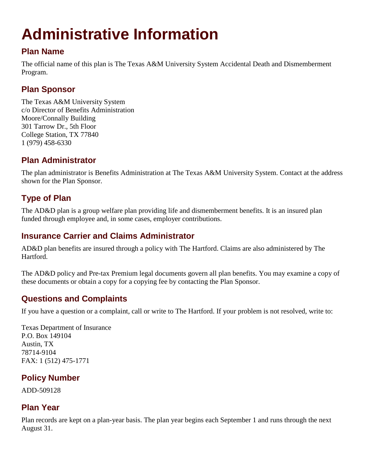# <span id="page-18-0"></span>**Administrative Information**

### <span id="page-18-1"></span>**Plan Name**

The official name of this plan is The Texas A&M University System Accidental Death and Dismemberment Program.

## <span id="page-18-2"></span>**Plan Sponsor**

The Texas A&M University System c/o Director of Benefits Administration Moore/Connally Building 301 Tarrow Dr., 5th Floor College Station, TX 77840 1 (979) 458-6330

## <span id="page-18-3"></span>**Plan Administrator**

The plan administrator is Benefits Administration at The Texas A&M University System. Contact at the address shown for the Plan Sponsor.

# <span id="page-18-4"></span>**Type of Plan**

The AD&D plan is a group welfare plan providing life and dismemberment benefits. It is an insured plan funded through employee and, in some cases, employer contributions.

### <span id="page-18-5"></span>**Insurance Carrier and Claims Administrator**

AD&D plan benefits are insured through a policy with The Hartford. Claims are also administered by The Hartford.

The AD&D policy and Pre-tax Premium legal documents govern all plan benefits. You may examine a copy of these documents or obtain a copy for a copying fee by contacting the Plan Sponsor.

## <span id="page-18-6"></span>**Questions and Complaints**

If you have a question or a complaint, call or write to The Hartford. If your problem is not resolved, write to:

Texas Department of Insurance P.O. Box 149104 Austin, TX 78714-9104 FAX: 1 (512) 475-1771

#### <span id="page-18-7"></span>**Policy Number**

ADD-509128

## <span id="page-18-8"></span>**Plan Year**

Plan records are kept on a plan-year basis. The plan year begins each September 1 and runs through the next August 31.